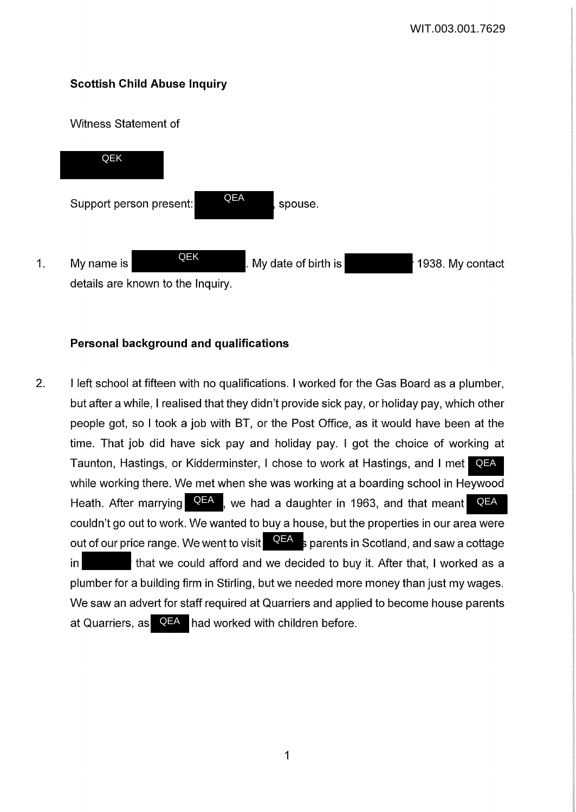# **Scottish Child Abuse Inquiry**

### Witness Statement of



## **Personal background and qualifications**

2. I left school at fifteen with no qualifications. I worked for the Gas Board as a plumber, but after a while, I realised that they didn't provide sick pay, or holiday pay, which other people got, so I took a job with BT, or the Post Office, as it would have been at the time. That job did have sick pay and holiday pay. I got the choice of working at Taunton, Hastings, or Kidderminster, I chose to work at Hastings, and I met while working there. We met when she was working at a boarding school in Heywood Heath. After marrying **QEA** , we had a daughter in 1963, and that meant couldn't go out to work. We wanted to buy a house, but the properties in our area were out of our price range. We went to visit **QEA** s parents in Scotland, and saw a cottage in that we could afford and we decided to buy it. After that, I worked as a plumber for a building firm in Stirling, but we needed more money than just my wages. We saw an advert for staff required at Quarriers and applied to become house parents at Quarriers, as QEA had worked with children before. QEA QEA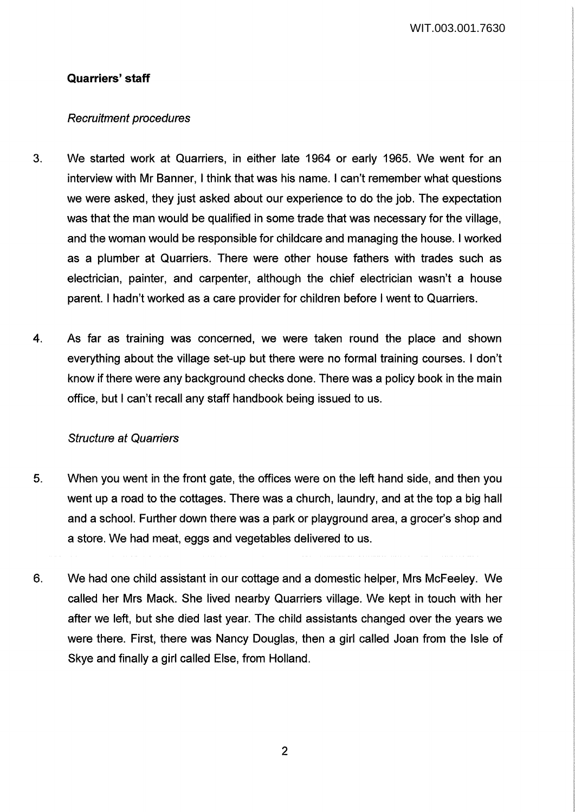## **Quarriers' staff**

### Recruitment procedures

- 3. We started work at Quarriers, in either late 1964 or early 1965. We went for an interview with Mr Banner, I think that was his name. I can't remember what questions we were asked, they just asked about our experience to do the job. The expectation was that the man would be qualified in some trade that was necessary for the village, and the woman would be responsible for childcare and managing the house. I worked as a plumber at Quarriers. There were other house fathers with trades such as electrician, painter, and carpenter, although the chief electrician wasn't a house parent. I hadn't worked as a care provider for children before I went to Quarriers.
- 4. As far as training was concerned, we were taken round the place and shown everything about the village set-up but there were no formal training courses. I don't know if there were any background checks done. There was a policy book in the main office, but I can't recall any staff handbook being issued to us.

### Structure at Quarriers

- 5. When you went in the front gate, the offices were on the left hand side, and then you went up a road to the cottages. There was a church, laundry, and at the top a big hall and a school. Further down there was a park or playground area, a grocer's shop and a store. We had meat, eggs and vegetables delivered to us.
- 6. We had one child assistant in our cottage and a domestic helper, Mrs McFeeley. We called her Mrs Mack. She lived nearby Quarriers village. We kept in touch with her after we left, but she died last year. The child assistants changed over the years we were there. First, there was Nancy Douglas, then a girl called Joan from the Isle of Skye and finally a girl called Else, from Holland.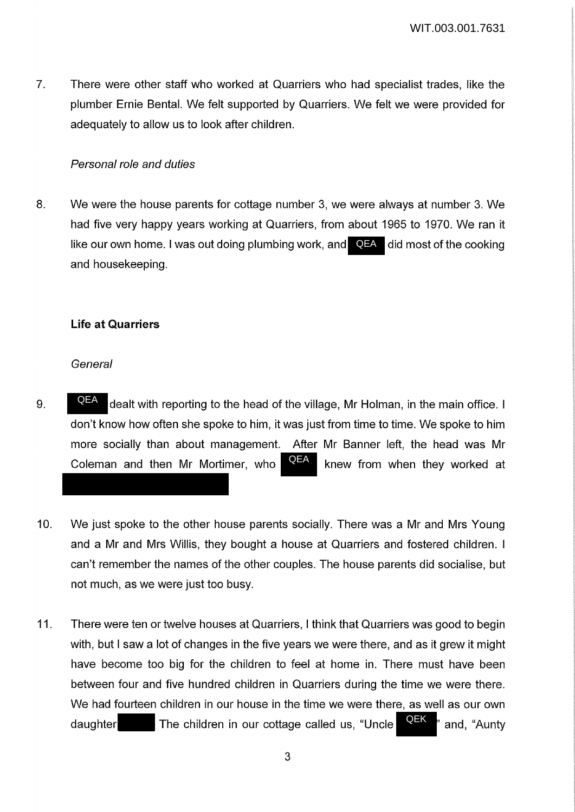7. There were other staff who worked at Quarriers who had specialist trades, like the plumber Ernie Bental. We felt supported by Quarriers. We felt we were provided for adequately to allow us to look after children.

### Personal role and duties

8. We were the house parents for cottage number 3, we were always at number 3. We had five very happy years working at Quarriers, from about 1965 to 1970. We ran it like our own home. I was out doing plumbing work, and **QEA** did most of the cooking and housekeeping.

### **Life at Quarriers**

#### **General**

- 9.  $\blacksquare$   $\blacksquare$  dealt with reporting to the head of the village, Mr Holman, in the main office. I don't know how often she spoke to him, it was just from time to time. We spoke to him more socially than about management. After Mr Banner left, the head was Mr Coleman and then Mr Mortimer, who  $\mathbb{R}^{n}$  knew from when they worked at QEA QEA
- 10. We just spoke to the other house parents socially. There was a Mr and Mrs Young and a Mr and Mrs Willis, they bought a house at Quarriers and fostered children. I can't remember the names of the other couples. The house parents did socialise, but not much, as we were just too busy.
- 11. There were ten or twelve houses at Quarriers, I think that Quarriers was good to begin with, but I saw a lot of changes in the five years we were there, and as it grew it might have become too big for the children to feel at home in. There must have been between four and five hundred children in Quarriers during the time we were there. We had fourteen children in our house in the time we were there, as well as our own daughter The children in our cottage called us, "Uncle **QEX**" and, "Aunty QEK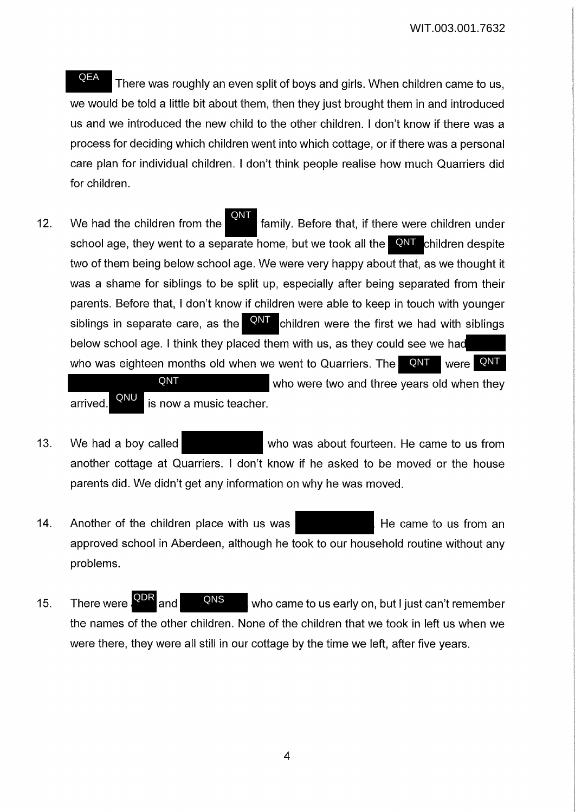There was roughly an even split of boys and girls. When children came to us, we would be told a little bit about them, then they just brought them in and introduced us and we introduced the new child to the other children. I don't know if there was a process for deciding which children went into which cottage, or if there was a personal care plan for individual children. I don't think people realise how much Quarriers did for children. QEA

12. We had the children from the **family.** Before that, if there were children under school age, they went to a separate home, but we took all the **QNT** children despite two of them being below school age. We were very happy about that, as we thought it was a shame for siblings to be split up, especially after being separated from their parents. Before that, I don't know if children were able to keep in touch with younger siblings in separate care, as the  $\frac{QNT}{QNT}$  children were the first we had with siblings below school age. I think they placed them with us, as they could see we had who was eighteen months old when we went to Quarriers. The  $\blacksquare$  QNT QNT were **QNT** 

who were two and three years old when they arrived. **EXPLE** is now a music teacher. QNT QNU

- 13. We had a boy called who was about fourteen. He came to us from another cottage at Quarriers. I don't know if he asked to be moved or the house parents did. We didn't get any information on why he was moved.
- 14. Another of the children place with us was **He came to use from an** approved school in Aberdeen, although he took to our household routine without any problems.
- 15. There were **and and CANS** who came to us early on, but I just can't remember the names of the other children. None of the children that we took in left us when we were there, they were all still in our cottage by the time we left, after five years. There were **QDR** and QNS

4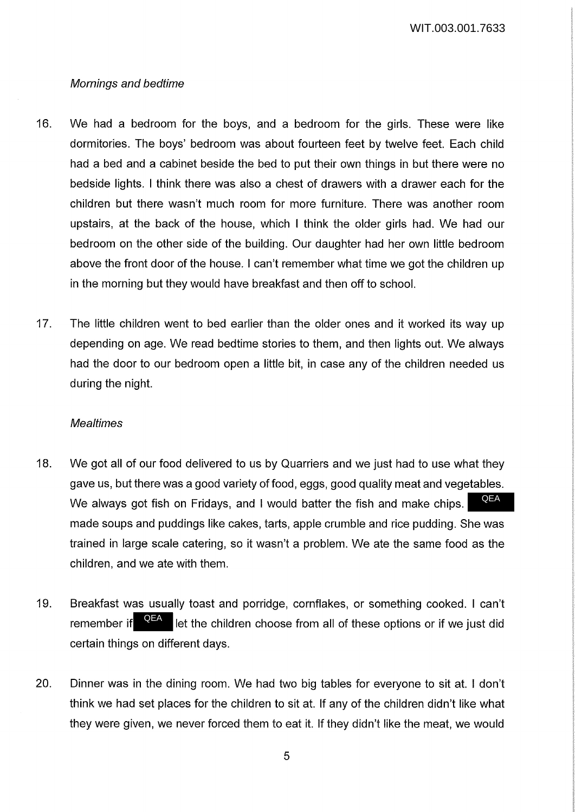### Mornings and bedtime

- 16. We had a bedroom for the boys, and a bedroom for the girls. These were like dormitories. The boys' bedroom was about fourteen feet by twelve feet. Each child had a bed and a cabinet beside the bed to put their own things in but there were no bedside lights. I think there was also a chest of drawers with a drawer each for the children but there wasn't much room for more furniture. There was another room upstairs, at the back of the house, which I think the older girls had. We had our bedroom on the other side of the building. Our daughter had her own little bedroom above the front door of the house. I can't remember what time we got the children up in the morning but they would have breakfast and then off to school.
- 17. The little children went to bed earlier than the older ones and it worked its way up depending on age. We read bedtime stories to them, and then lights out. We always had the door to our bedroom open a little bit, in case any of the children needed us during the night.

#### **Mealtimes**

- 18. We got all of our food delivered to us by Quarriers and we just had to use what they gave us, but there was a good variety of food, eggs, good quality meat and vegetables. We always got fish on Fridays, and I would batter the fish and make chips. made soups and puddings like cakes, tarts, apple crumble and rice pudding. She was trained in large scale catering, so it wasn't a problem. We ate the same food as the children, and we ate with them. QEA
- 19. Breakfast was usually toast and porridge, cornflakes, or something cooked. I can't remember if  $\sqrt{1-\frac{1}{n}}$  let the children choose from all of these options or if we just did certain things on different days. QEA
- 20. Dinner was in the dining room. We had two big tables for everyone to sit at. I don't think we had set places for the children to sit at. If any of the children didn't like what they were given, we never forced them to eat it. If they didn't like the meat, we would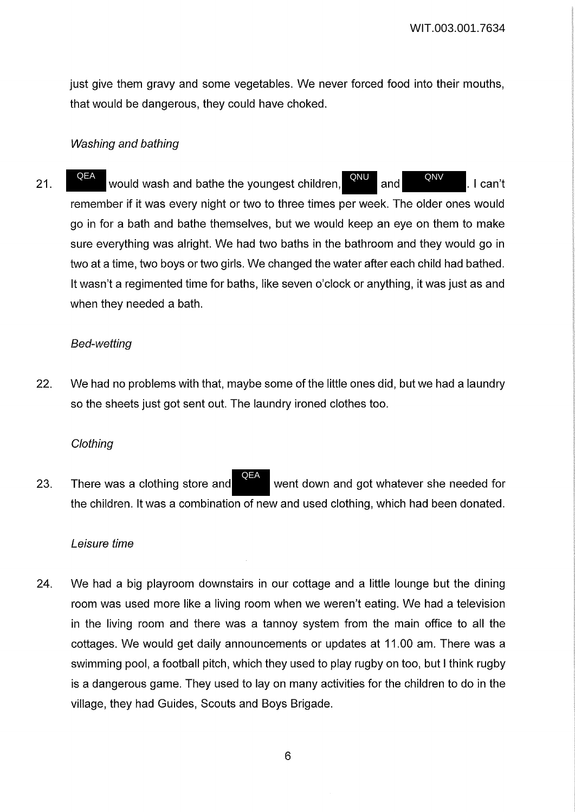just give them gravy and some vegetables. We never forced food into their mouths, that would be dangerous, they could have choked.

### Washing and bathing

21. QEA would wash and bathe the youngest children,  $\overline{QNU}$  and  $\overline{QNV}$ . I can't remember if it was every night or two to three times per week. The older ones would go in for a bath and bathe themselves, but we would keep an eye on them to make sure everything was alright. We had two baths in the bathroom and they would go in two at a time, two boys or two girls. We changed the water after each child had bathed. It wasn't a regimented time for baths, like seven o'clock or anything, it was just as and when they needed a bath. QNU QNV **OFA** 

#### Bed-wetting

22. We had no problems with that, maybe some of the little ones did, but we had a laundry so the sheets just got sent out. The laundry ironed clothes too.

### **Clothing**

23. There was a clothing store and went down and got whatever she needed for the children. It was a combination of new and used clothing, which had been donated. QEA

### Leisure time

24. We had a big playroom downstairs in our cottage and a little lounge but the dining room was used more like a living room when we weren't eating. We had a television in the living room and there was a tannoy system from the main office to all the cottages. We would get daily announcements or updates at 11.00 am. There was a swimming pool, a football pitch, which they used to play rugby on too, but I think rugby is a dangerous game. They used to lay on many activities for the children to do in the village, they had Guides, Scouts and Boys Brigade.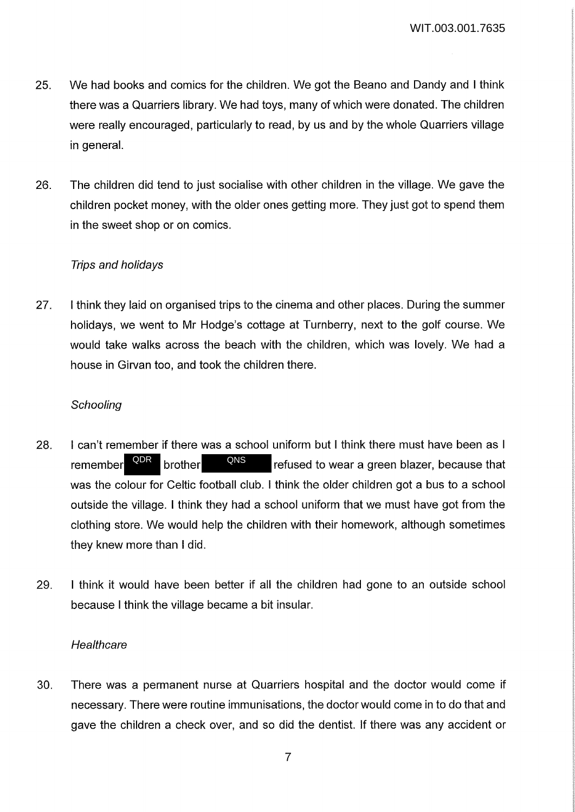- 25. We had books and comics for the children. We got the Beano and Dandy and I think there was a Quarriers library. We had toys, many of which were donated. The children were really encouraged, particularly to read, by us and by the whole Quarriers village in general.
- 26. The children did tend to just socialise with other children in the village. We gave the children pocket money, with the older ones getting more. They just got to spend them in the sweet shop or on comics.

## Trips and holidays

27. I think they laid on organised trips to the cinema and other places. During the summer holidays, we went to Mr Hodge's cottage at Turnberry, next to the golf course. We would take walks across the beach with the children, which was lovely. We had a house in Girvan too, and took the children there.

## **Schooling**

- 28. I can't remember if there was a school uniform but I think there must have been as I remember  $\frac{QDR}{P}$  brother  $\frac{QNS}{P}$  refused to wear a green blazer, because that was the colour for Celtic football club. I think the older children got a bus to a school outside the village. I think they had a school uniform that we must have got from the clothing store. We would help the children with their homework, although sometimes they knew more than I did. brother
- 29. I think it would have been better if all the children had gone to an outside school because I think the village became a bit insular.

### **Healthcare**

30. There was a permanent nurse at Quarriers hospital and the doctor would come if necessary. There were routine immunisations, the doctor would come in to do that and gave the children a check over, and so did the dentist. If there was any accident or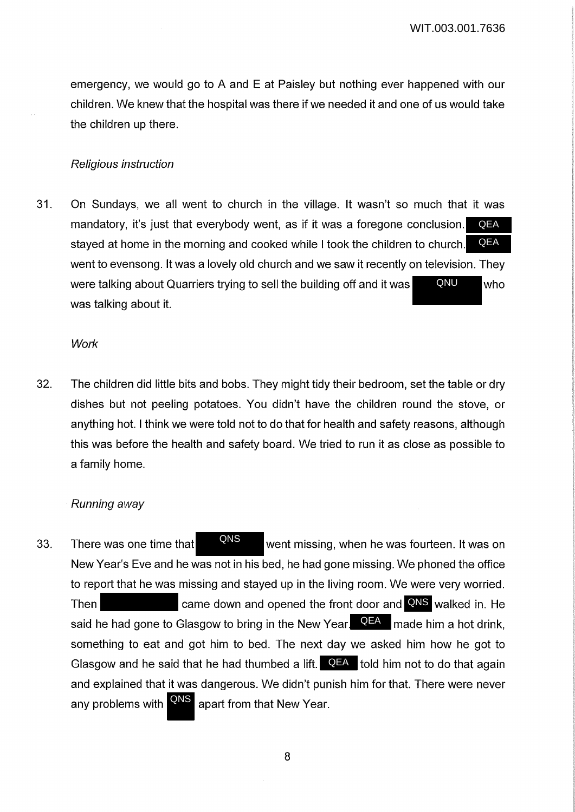emergency, we would go to A and E at Paisley but nothing ever happened with our children. We knew that the hospital was there if we needed it and one of us would take the children up there.

### Religious instruction

31. On Sundays, we all went to church in the village. It wasn't so much that it was mandatory, it's just that everybody went, as if it was a foregone conclusion. stayed at home in the morning and cooked while I took the children to church. went to evensong. It was a lovely old church and we saw it recently on television. They were talking about Quarriers trying to sell the building off and it was  $\blacksquare$  Who was talking about it. **QEA** QNU **QEA** 

#### **Work**

32. The children did little bits and bobs. They might tidy their bedroom, set the table or dry dishes but not peeling potatoes. You didn't have the children round the stove, or anything hot. I think we were told not to do that for health and safety reasons, although this was before the health and safety board. We tried to run it as close as possible to a family home.

#### Running away

33. There was one time that **WAS** went missing, when he was fourteen. It was on New Year's Eve and he was not in his bed, he had gone missing. We phoned the office to report that he was missing and stayed up in the living room. We were very worried. Then **came down and opened the front door and QNS** walked in. He said he had gone to Glasgow to bring in the New Year. <sup>QEA</sup> made him a hot drink, something to eat and got him to bed. The next day we asked him how he got to Glasgow and he said that he had thumbed a lift.  $\overline{QFA}$  told him not to do that again and explained that it was dangerous. We didn't punish him for that. There were never any problems with **QNS** apart from that New Year. QNS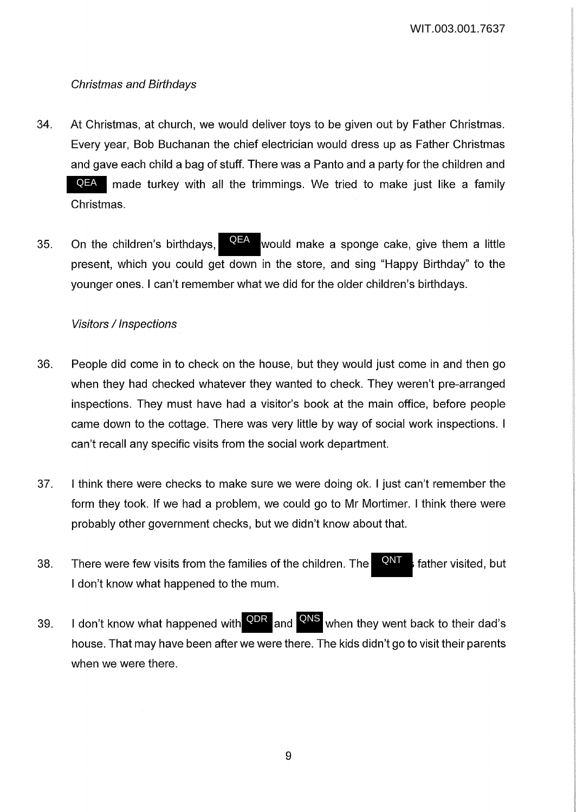## Christmas and Birthdays

- 34. At Christmas, at church, we would deliver toys to be given out by Father Christmas. Every year, Bob Buchanan the chief electrician would dress up as Father Christmas and gave each child a bag of stuff. There was a Panto and a party for the children and QEA made turkey with all the trimmings. We tried to make just like a family Christmas.
- 35. On the children's birthdays,  $\frac{Q_1 Q_2}{Q_2}$  would make a sponge cake, give them a little present, which you could get down in the store, and sing "Happy Birthday" to the younger ones. I can't remember what we did for the older children's birthdays. QEA

### Visitors / Inspections

- 36. People did come in to check on the house, but they would just come in and then go when they had checked whatever they wanted to check. They weren't pre-arranged inspections. They must have had a visitor's book at the main office, before people came down to the cottage. There was very little by way of social work inspections. I can't recall any specific visits from the social work department.
- 37. I think there were checks to make sure we were doing ok. I just can't remember the form they took. If we had a problem, we could go to Mr Mortimer. I think there were probably other government checks, but we didn't know about that.
- 38. There were few visits from the families of the children. The **CALL** father visited, but I don't know what happened to the mum. QNT
- 39. I don't know what happened with **QDR** and **QNS** when they went back to their dad's house. That may have been after we were there. The kids didn't go to visit their parents when we were there.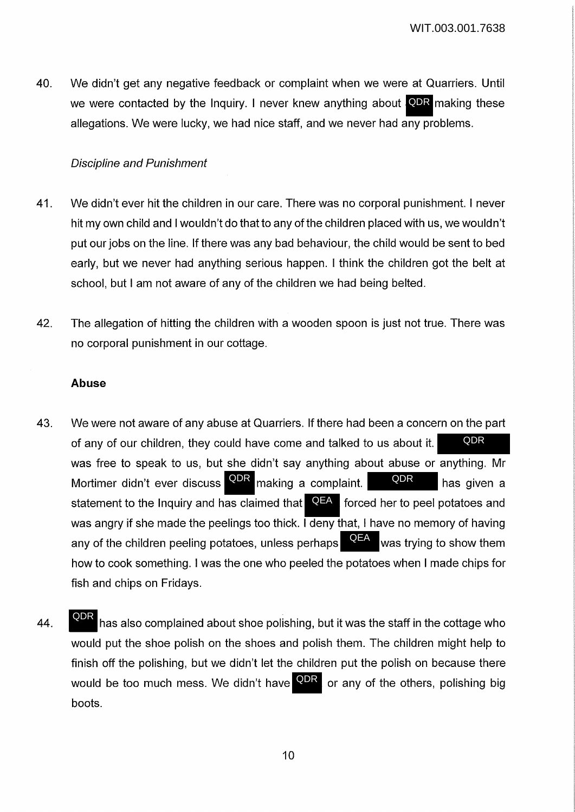40. We didn't get any negative feedback or complaint when we were at Quarriers. Until we were contacted by the Inquiry. I never knew anything about **QDR** making these allegations. We were lucky, we had nice staff, and we never had any problems.

## Discipline and Punishment

- 41. We didn't ever hit the children in our care. There was no corporal punishment. I never hit my own child and I wouldn't do that to any of the children placed with us, we wouldn't put our jobs on the line. If there was any bad behaviour, the child would be sent to bed early, but we never had anything serious happen. I think the children got the belt at school, but I am not aware of any of the children we had being belted.
- 42. The allegation of hitting the children with a wooden spoon is just not true. There was no corporal punishment in our cottage.

### **Abuse**

- 43. We were not aware of any abuse at Quarriers. If there had been a concern on the part of any of our children, they could have come and talked to us about it. was free to speak to us, but she didn't say anything about abuse or anything. Mr Mortimer didn't ever discuss <sup>QDR</sup> making a complaint. A QDR has given a statement to the Inquiry and has claimed that **QEA** forced her to peel potatoes and was angry if she made the peelings too thick. **I deny that, I have no memory of having** any of the children peeling potatoes, unless perhaps  $\mathbb{R}^{n}$  was trying to show them how to cook something. I was the one who peeled the potatoes when I made chips for fish and chips on Fridays. QEA QDR
- 44. has also complained about shoe polishing, but it was the staff in the cottage who would put the shoe polish on the shoes and polish them. The children might help to finish off the polishing, but we didn't let the children put the polish on because there would be too much mess. We didn't have <sup>QDR</sup> or any of the others, polishing big boots. QDR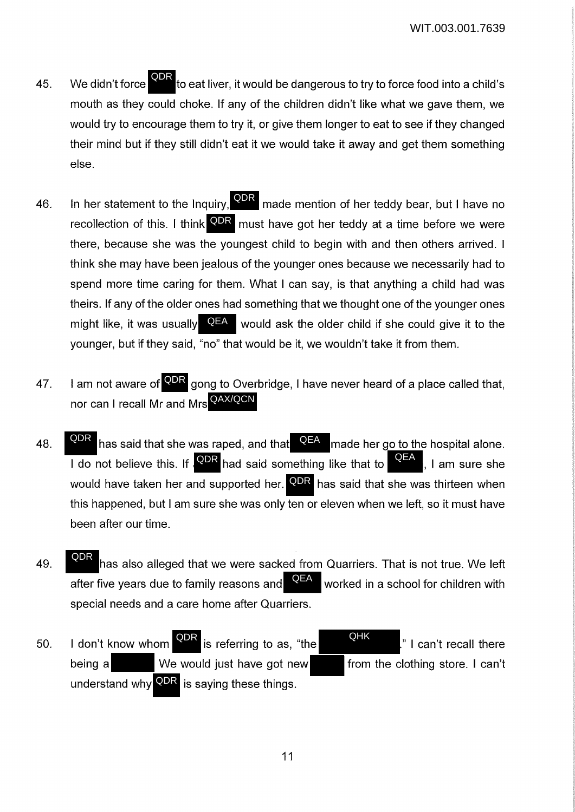- 45. We didn't force that iver, it would be dangerous to try to force food into a child's mouth as they could choke. If any of the children didn't like what we gave them, we would try to encourage them to try it, or give them longer to eat to see if they changed their mind but if they still didn't eat it we would take it away and get them something else. We didn't force **QDR**
- 46. In her statement to the Inquiry,  $\frac{\textsf{QDR}}{\textsf{M}}$  made mention of her teddy bear, but I have no recollection of this. I think <sup>QDR</sup> must have got her teddy at a time before we were there, because she was the youngest child to begin with and then others arrived. I think she may have been jealous of the younger ones because we necessarily had to spend more time caring for them. What I can say, is that anything a child had was theirs. If any of the older ones had something that we thought one of the younger ones might like, it was usually **QEA** would ask the older child if she could give it to the younger, but if they said, "no" that would be it, we wouldn't take it from them.
- 47. I am not aware of **QDR** gong to Overbridge, I have never heard of a place called that, nor can I recall Mr and Mrs <sup>QAX/QCN</sup>
- 48. **ODR** has said that she was raped, and that  $\overline{QFA}$  made her go to the hospital alone. I do not believe this. If  $\sqrt{QDR}$  had said something like that to  $\sqrt{QEA}$ , I am sure she would have taken her and supported her. **QDR** has said that she was thirteen when this happened, but I am sure she was only ten or eleven when we left, so it must have been after our time. QDR
- 49. has also alleged that we were sacked from Quarriers. That is not true. We left after five years due to family reasons and  $\mathbb{R}$  worked in a school for children with special needs and a care home after Quarriers. QDR QEA
- 50. I don't know whom  $\overline{Q}$ PR is referring to as, "the  $\overline{Q}$ HK  $\overline{Q}$ " I can't recall there being a We would just have got new from the clothing store. I can't understand why <sup>QDR</sup> is saying these things. QHK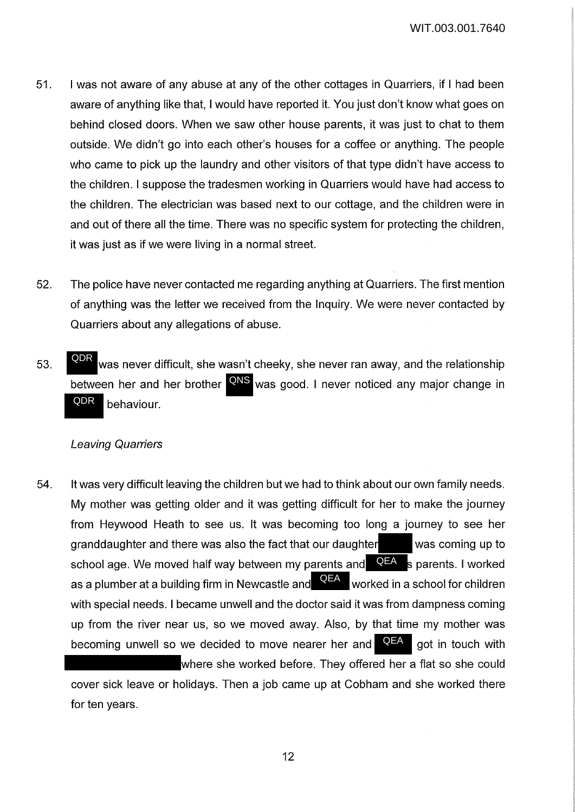- 51. I was not aware of any abuse at any of the other cottages in Quarriers, if I had been aware of anything like that, I would have reported it. You just don't know what goes on behind closed doors. When we saw other house parents, it was just to chat to them outside. We didn't go into each other's houses for a coffee or anything. The people who came to pick up the laundry and other visitors of that type didn't have access to the children. I suppose the tradesmen working in Quarriers would have had access to the children. The electrician was based next to our cottage, and the children were in and out of there all the time. There was no specific system for protecting the children, it was just as if we were living in a normal street.
- 52. The police have never contacted me regarding anything at Quarriers. The first mention of anything was the letter we received from the Inquiry. We were never contacted by Quarriers about any allegations of abuse.
- 53. Was never difficult, she wasn't cheeky, she never ran away, and the relationship between her and her brother **QNS** was good. I never noticed any major change in behaviour. QDR QDR

#### Leaving Quarriers

for ten years.

54. It was very difficult leaving the children but we had to think about our own family needs. My mother was getting older and it was getting difficult for her to make the journey from Heywood Heath to see us. It was becoming too long a journey to see her granddaughter and there was also the fact that our daughter  $\blacksquare$  was coming up to school age. We moved half way between my parents and **QEA** s parents. I worked as a plumber at a building firm in Newcastle and  $\overline{\text{QEA}}$  worked in a school for children with special needs. I became unwell and the doctor said it was from dampness coming up from the river near us, so we moved away. Also, by that time my mother was becoming unwell so we decided to move nearer her and **QEA** got in touch with where she worked before. They offered her a flat so she could cover sick leave or holidays. Then a job came up at Cobham and she worked there